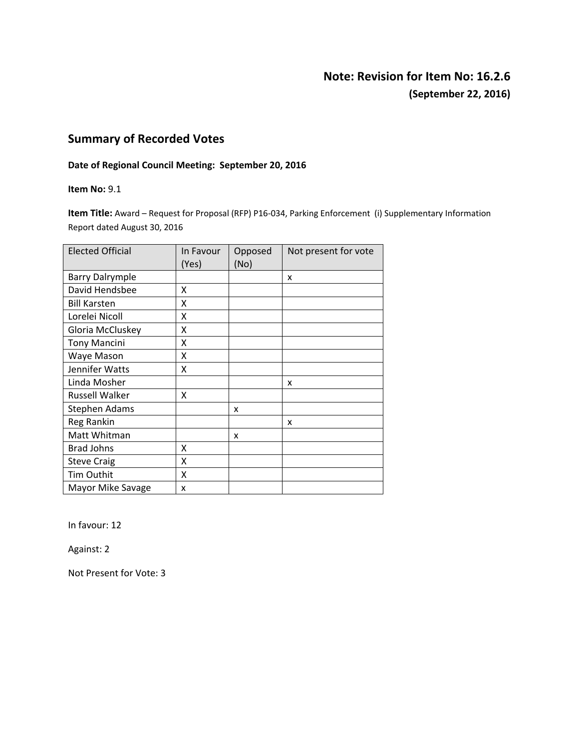## **Note: Revision for Item No: 16.2.6 (September 22, 2016)**

## **Summary of Recorded Votes**

#### **Date of Regional Council Meeting: September 20, 2016**

**Item No:** 9.1

**Item Title:** Award – Request for Proposal (RFP) P16‐034, Parking Enforcement (i) Supplementary Information Report dated August 30, 2016

| <b>Elected Official</b> | In Favour<br>(Yes) | Opposed<br>(No) | Not present for vote |
|-------------------------|--------------------|-----------------|----------------------|
| <b>Barry Dalrymple</b>  |                    |                 | x                    |
| David Hendsbee          | x                  |                 |                      |
| <b>Bill Karsten</b>     | x                  |                 |                      |
| Lorelei Nicoll          | X                  |                 |                      |
| Gloria McCluskey        | X                  |                 |                      |
| <b>Tony Mancini</b>     | X                  |                 |                      |
| Waye Mason              | x                  |                 |                      |
| Jennifer Watts          | x                  |                 |                      |
| Linda Mosher            |                    |                 | x                    |
| <b>Russell Walker</b>   | X                  |                 |                      |
| <b>Stephen Adams</b>    |                    | x               |                      |
| Reg Rankin              |                    |                 | x                    |
| Matt Whitman            |                    | X               |                      |
| Brad Johns              | x                  |                 |                      |
| <b>Steve Craig</b>      | x                  |                 |                      |
| <b>Tim Outhit</b>       | x                  |                 |                      |
| Mayor Mike Savage       | x                  |                 |                      |

In favour: 12

Against: 2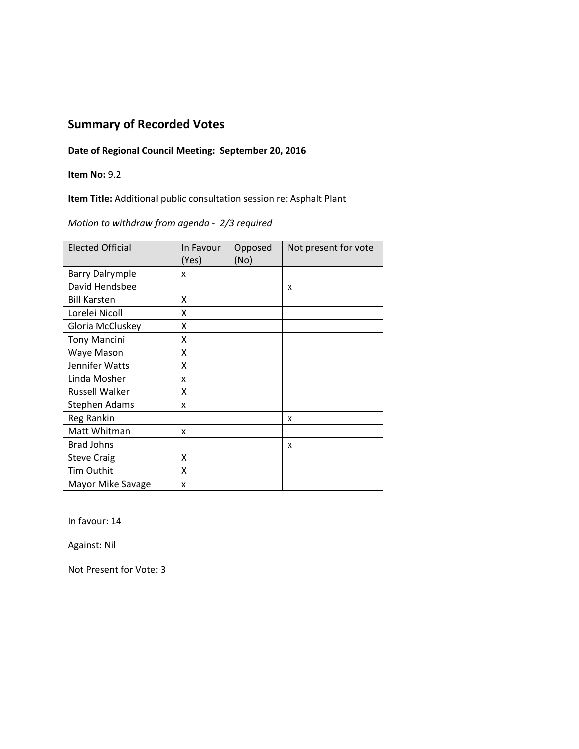### **Date of Regional Council Meeting: September 20, 2016**

### **Item No:** 9.2

**Item Title:** Additional public consultation session re: Asphalt Plant

*Motion to withdraw from agenda ‐ 2/3 required*

| <b>Elected Official</b> | In Favour<br>(Yes) | Opposed<br>(No) | Not present for vote |
|-------------------------|--------------------|-----------------|----------------------|
| <b>Barry Dalrymple</b>  | x                  |                 |                      |
| David Hendsbee          |                    |                 | x                    |
| <b>Bill Karsten</b>     | X                  |                 |                      |
| Lorelei Nicoll          | X                  |                 |                      |
| Gloria McCluskey        | X                  |                 |                      |
| <b>Tony Mancini</b>     | X                  |                 |                      |
| Waye Mason              | X                  |                 |                      |
| Jennifer Watts          | X                  |                 |                      |
| Linda Mosher            | x                  |                 |                      |
| <b>Russell Walker</b>   | x                  |                 |                      |
| <b>Stephen Adams</b>    | x                  |                 |                      |
| Reg Rankin              |                    |                 | x                    |
| Matt Whitman            | x                  |                 |                      |
| <b>Brad Johns</b>       |                    |                 | x                    |
| <b>Steve Craig</b>      | X                  |                 |                      |
| Tim Outhit              | x                  |                 |                      |
| Mayor Mike Savage       | x                  |                 |                      |

In favour: 14

Against: Nil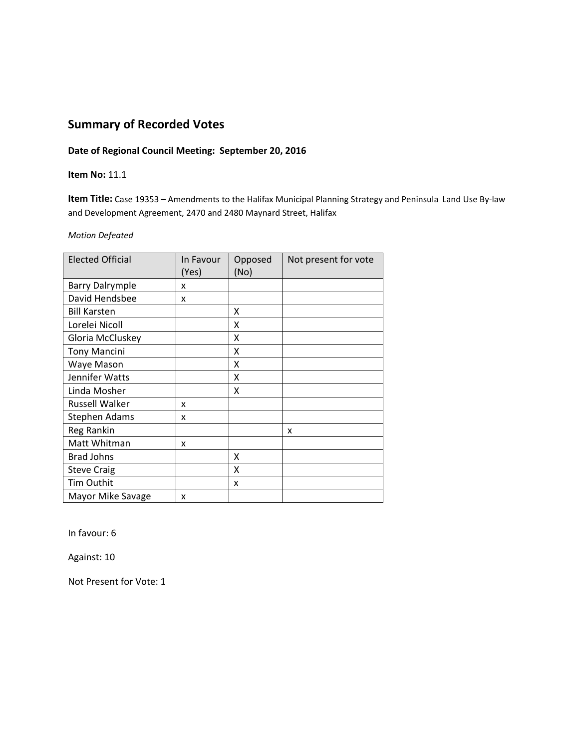### **Date of Regional Council Meeting: September 20, 2016**

#### **Item No:** 11.1

**Item Title:** Case 19353 **–** Amendments to the Halifax Municipal Planning Strategy and Peninsula Land Use By‐law and Development Agreement, 2470 and 2480 Maynard Street, Halifax

#### *Motion Defeated*

| <b>Elected Official</b> | In Favour<br>(Yes) | Opposed<br>(No) | Not present for vote |
|-------------------------|--------------------|-----------------|----------------------|
| <b>Barry Dalrymple</b>  | x                  |                 |                      |
| David Hendsbee          | x                  |                 |                      |
| <b>Bill Karsten</b>     |                    | x               |                      |
| Lorelei Nicoll          |                    | x               |                      |
| Gloria McCluskey        |                    | x               |                      |
| <b>Tony Mancini</b>     |                    | x               |                      |
| Waye Mason              |                    | x               |                      |
| Jennifer Watts          |                    | x               |                      |
| Linda Mosher            |                    | x               |                      |
| <b>Russell Walker</b>   | x                  |                 |                      |
| Stephen Adams           | x                  |                 |                      |
| <b>Reg Rankin</b>       |                    |                 | x                    |
| Matt Whitman            | x                  |                 |                      |
| <b>Brad Johns</b>       |                    | x               |                      |
| <b>Steve Craig</b>      |                    | x               |                      |
| <b>Tim Outhit</b>       |                    | x               |                      |
| Mayor Mike Savage       | x                  |                 |                      |

In favour: 6

Against: 10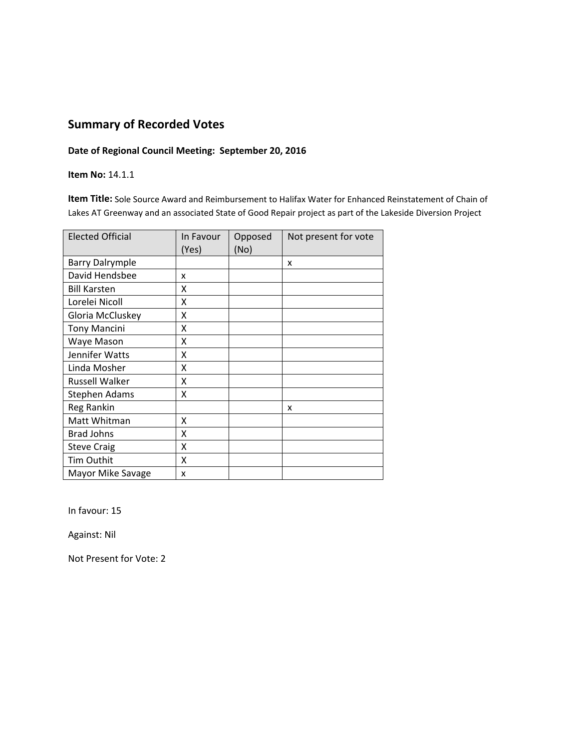### **Date of Regional Council Meeting: September 20, 2016**

**Item No:** 14.1.1

**Item Title:** Sole Source Award and Reimbursement to Halifax Water for Enhanced Reinstatement of Chain of Lakes AT Greenway and an associated State of Good Repair project as part of the Lakeside Diversion Project

| <b>Elected Official</b> | In Favour<br>(Yes) | Opposed<br>(No) | Not present for vote |
|-------------------------|--------------------|-----------------|----------------------|
| <b>Barry Dalrymple</b>  |                    |                 | x                    |
| David Hendsbee          | x                  |                 |                      |
| <b>Bill Karsten</b>     | x                  |                 |                      |
| Lorelei Nicoll          | X                  |                 |                      |
| Gloria McCluskey        | Χ                  |                 |                      |
| <b>Tony Mancini</b>     | X                  |                 |                      |
| Waye Mason              | X                  |                 |                      |
| Jennifer Watts          | X                  |                 |                      |
| Linda Mosher            | X                  |                 |                      |
| Russell Walker          | X                  |                 |                      |
| <b>Stephen Adams</b>    | X                  |                 |                      |
| Reg Rankin              |                    |                 | x                    |
| Matt Whitman            | X                  |                 |                      |
| <b>Brad Johns</b>       | X                  |                 |                      |
| <b>Steve Craig</b>      | X                  |                 |                      |
| Tim Outhit              | x                  |                 |                      |
| Mayor Mike Savage       | x                  |                 |                      |

In favour: 15

Against: Nil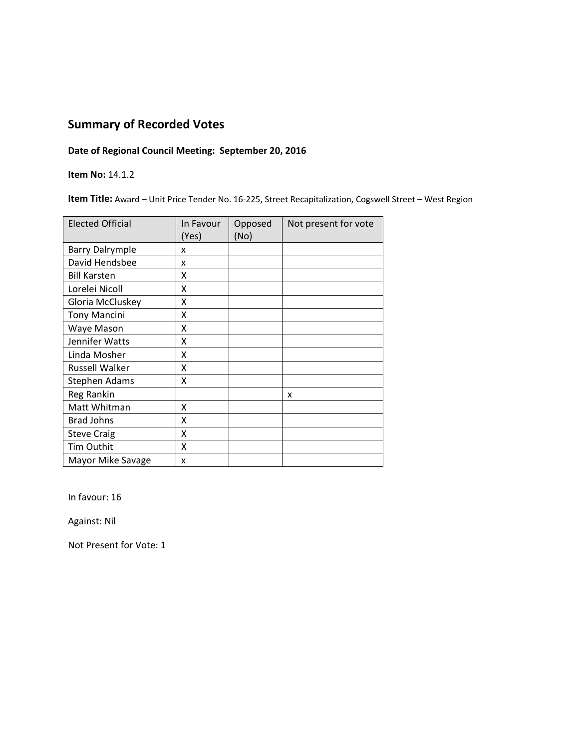### **Date of Regional Council Meeting: September 20, 2016**

**Item No:** 14.1.2

**Item Title:** Award – Unit Price Tender No. 16‐225, Street Recapitalization, Cogswell Street – West Region

| <b>Elected Official</b> | In Favour<br>(Yes) | Opposed<br>(No) | Not present for vote |
|-------------------------|--------------------|-----------------|----------------------|
| <b>Barry Dalrymple</b>  | x                  |                 |                      |
| David Hendsbee          | x                  |                 |                      |
| <b>Bill Karsten</b>     | x                  |                 |                      |
| Lorelei Nicoll          | X                  |                 |                      |
| Gloria McCluskey        | Χ                  |                 |                      |
| <b>Tony Mancini</b>     | Χ                  |                 |                      |
| Waye Mason              | X                  |                 |                      |
| Jennifer Watts          | Χ                  |                 |                      |
| Linda Mosher            | χ                  |                 |                      |
| <b>Russell Walker</b>   | χ                  |                 |                      |
| <b>Stephen Adams</b>    | Χ                  |                 |                      |
| Reg Rankin              |                    |                 | x                    |
| Matt Whitman            | Χ                  |                 |                      |
| <b>Brad Johns</b>       | X                  |                 |                      |
| <b>Steve Craig</b>      | X                  |                 |                      |
| Tim Outhit              | X                  |                 |                      |
| Mayor Mike Savage       | x                  |                 |                      |

In favour: 16

Against: Nil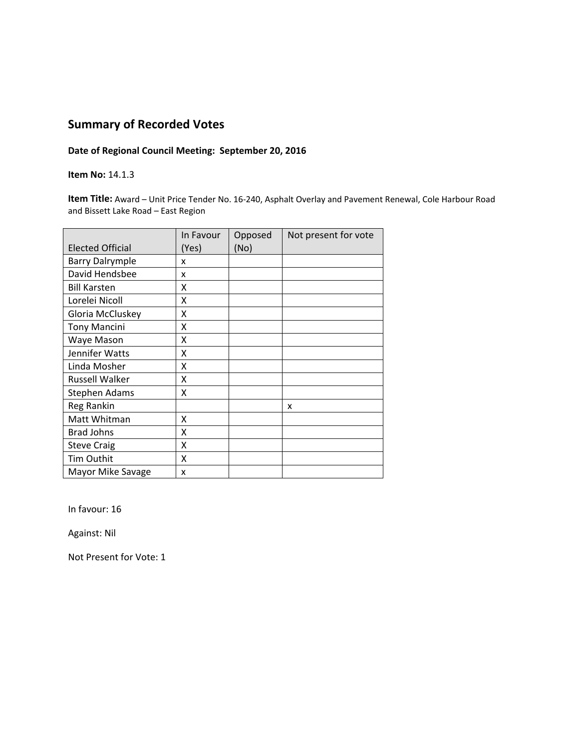### **Date of Regional Council Meeting: September 20, 2016**

#### **Item No:** 14.1.3

**Item Title:** Award – Unit Price Tender No. 16‐240, Asphalt Overlay and Pavement Renewal, Cole Harbour Road and Bissett Lake Road – East Region

|                         | In Favour | Opposed | Not present for vote |
|-------------------------|-----------|---------|----------------------|
| <b>Elected Official</b> | (Yes)     | (No)    |                      |
| <b>Barry Dalrymple</b>  | x         |         |                      |
| David Hendsbee          | x         |         |                      |
| <b>Bill Karsten</b>     | x         |         |                      |
| Lorelei Nicoll          | x         |         |                      |
| Gloria McCluskey        | x         |         |                      |
| <b>Tony Mancini</b>     | X         |         |                      |
| Waye Mason              | X         |         |                      |
| Jennifer Watts          | X         |         |                      |
| Linda Mosher            | x         |         |                      |
| <b>Russell Walker</b>   | X         |         |                      |
| <b>Stephen Adams</b>    | Χ         |         |                      |
| Reg Rankin              |           |         | x                    |
| Matt Whitman            | X         |         |                      |
| <b>Brad Johns</b>       | x         |         |                      |
| <b>Steve Craig</b>      | X         |         |                      |
| Tim Outhit              | x         |         |                      |
| Mayor Mike Savage       | x         |         |                      |

In favour: 16

Against: Nil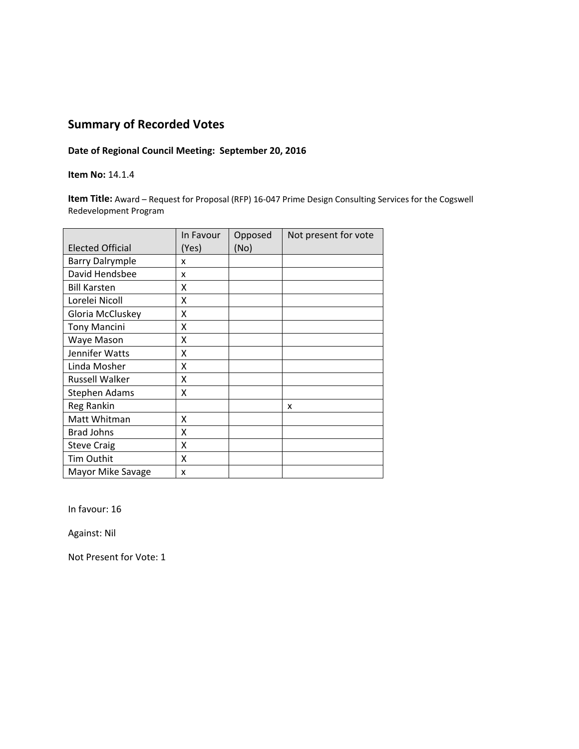### **Date of Regional Council Meeting: September 20, 2016**

### **Item No:** 14.1.4

**Item Title:** Award – Request for Proposal (RFP) 16‐047 Prime Design Consulting Services for the Cogswell Redevelopment Program

|                         | In Favour | Opposed | Not present for vote |
|-------------------------|-----------|---------|----------------------|
| <b>Elected Official</b> | (Yes)     | (No)    |                      |
| <b>Barry Dalrymple</b>  | x         |         |                      |
| David Hendsbee          | x         |         |                      |
| <b>Bill Karsten</b>     | x         |         |                      |
| Lorelei Nicoll          | x         |         |                      |
| Gloria McCluskey        | x         |         |                      |
| <b>Tony Mancini</b>     | Χ         |         |                      |
| Waye Mason              | X         |         |                      |
| Jennifer Watts          | X         |         |                      |
| Linda Mosher            | χ         |         |                      |
| <b>Russell Walker</b>   | Χ         |         |                      |
| <b>Stephen Adams</b>    | Χ         |         |                      |
| Reg Rankin              |           |         | x                    |
| Matt Whitman            | X         |         |                      |
| <b>Brad Johns</b>       | x         |         |                      |
| <b>Steve Craig</b>      | X         |         |                      |
| Tim Outhit              | x         |         |                      |
| Mayor Mike Savage       | x         |         |                      |

In favour: 16

Against: Nil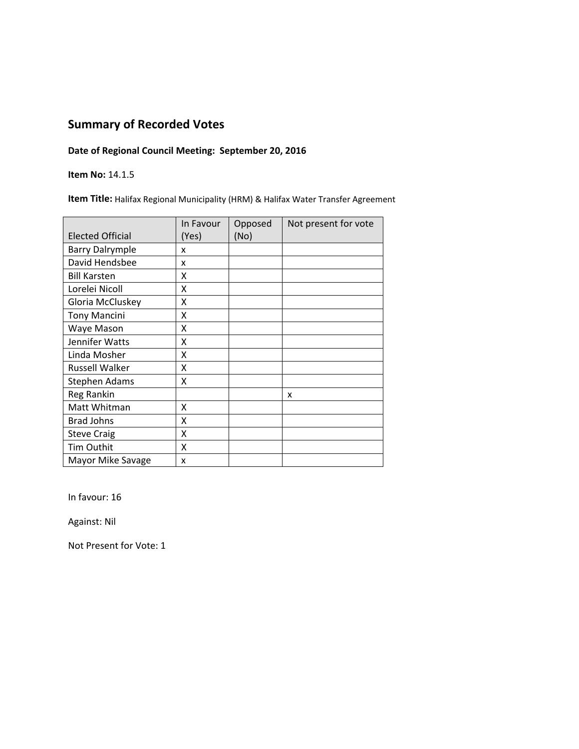### **Date of Regional Council Meeting: September 20, 2016**

**Item No:** 14.1.5

**Item Title:** Halifax Regional Municipality (HRM) & Halifax Water Transfer Agreement

|                         | In Favour | Opposed | Not present for vote |
|-------------------------|-----------|---------|----------------------|
| <b>Elected Official</b> | (Yes)     | (No)    |                      |
| <b>Barry Dalrymple</b>  | x         |         |                      |
| David Hendsbee          | x         |         |                      |
| <b>Bill Karsten</b>     | X         |         |                      |
| Lorelei Nicoll          | X         |         |                      |
| Gloria McCluskey        | Χ         |         |                      |
| <b>Tony Mancini</b>     | X         |         |                      |
| Waye Mason              | Χ         |         |                      |
| Jennifer Watts          | X         |         |                      |
| Linda Mosher            | X         |         |                      |
| <b>Russell Walker</b>   | Χ         |         |                      |
| <b>Stephen Adams</b>    | χ         |         |                      |
| Reg Rankin              |           |         | x                    |
| Matt Whitman            | Χ         |         |                      |
| <b>Brad Johns</b>       | Χ         |         |                      |
| <b>Steve Craig</b>      | Χ         |         |                      |
| Tim Outhit              | Χ         |         |                      |
| Mayor Mike Savage       | x         |         |                      |

In favour: 16

Against: Nil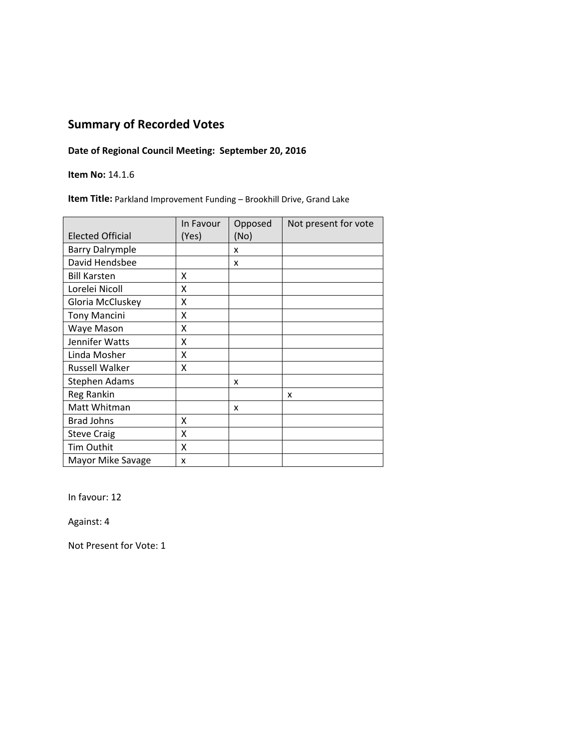### **Date of Regional Council Meeting: September 20, 2016**

**Item No:** 14.1.6

**Item Title:** Parkland Improvement Funding – Brookhill Drive, Grand Lake

|                         | In Favour | Opposed | Not present for vote |
|-------------------------|-----------|---------|----------------------|
| <b>Elected Official</b> | (Yes)     | (No)    |                      |
| <b>Barry Dalrymple</b>  |           | x       |                      |
| David Hendsbee          |           | x       |                      |
| <b>Bill Karsten</b>     | x         |         |                      |
| Lorelei Nicoll          | X         |         |                      |
| Gloria McCluskey        | x         |         |                      |
| <b>Tony Mancini</b>     | X         |         |                      |
| Waye Mason              | X         |         |                      |
| Jennifer Watts          | X         |         |                      |
| Linda Mosher            | x         |         |                      |
| <b>Russell Walker</b>   | x         |         |                      |
| <b>Stephen Adams</b>    |           | x       |                      |
| Reg Rankin              |           |         | x                    |
| Matt Whitman            |           | x       |                      |
| <b>Brad Johns</b>       | x         |         |                      |
| <b>Steve Craig</b>      | x         |         |                      |
| Tim Outhit              | X         |         |                      |
| Mayor Mike Savage       | x         |         |                      |

In favour: 12

Against: 4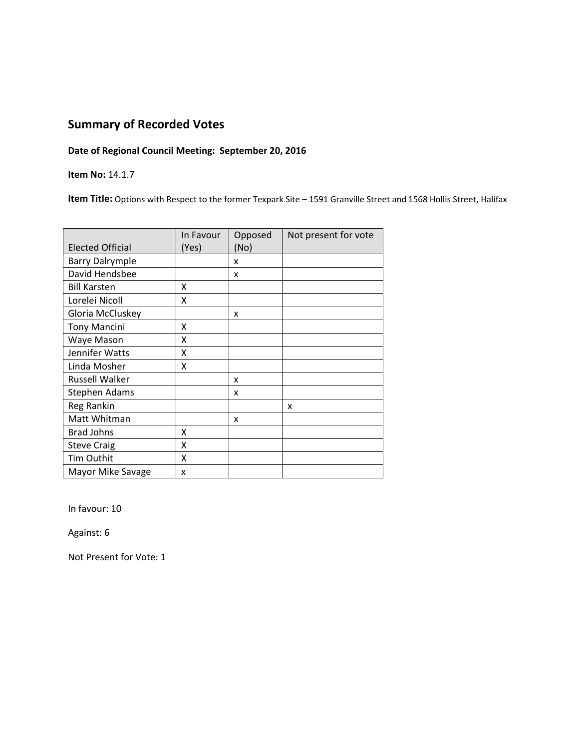### **Date of Regional Council Meeting: September 20, 2016**

**Item No:** 14.1.7

**Item Title:** Options with Respect to the former Texpark Site – 1591 Granville Street and 1568 Hollis Street, Halifax

|                         | In Favour | Opposed | Not present for vote |
|-------------------------|-----------|---------|----------------------|
| <b>Elected Official</b> | (Yes)     | (No)    |                      |
| <b>Barry Dalrymple</b>  |           | x       |                      |
| David Hendsbee          |           | x       |                      |
| <b>Bill Karsten</b>     | X         |         |                      |
| Lorelei Nicoll          | X         |         |                      |
| Gloria McCluskey        |           | x       |                      |
| <b>Tony Mancini</b>     | X         |         |                      |
| Waye Mason              | x         |         |                      |
| Jennifer Watts          | Χ         |         |                      |
| Linda Mosher            | Χ         |         |                      |
| <b>Russell Walker</b>   |           | x       |                      |
| Stephen Adams           |           | x       |                      |
| Reg Rankin              |           |         | x                    |
| Matt Whitman            |           | x       |                      |
| <b>Brad Johns</b>       | X         |         |                      |
| <b>Steve Craig</b>      | X         |         |                      |
| Tim Outhit              | X         |         |                      |
| Mayor Mike Savage       | x         |         |                      |

In favour: 10

Against: 6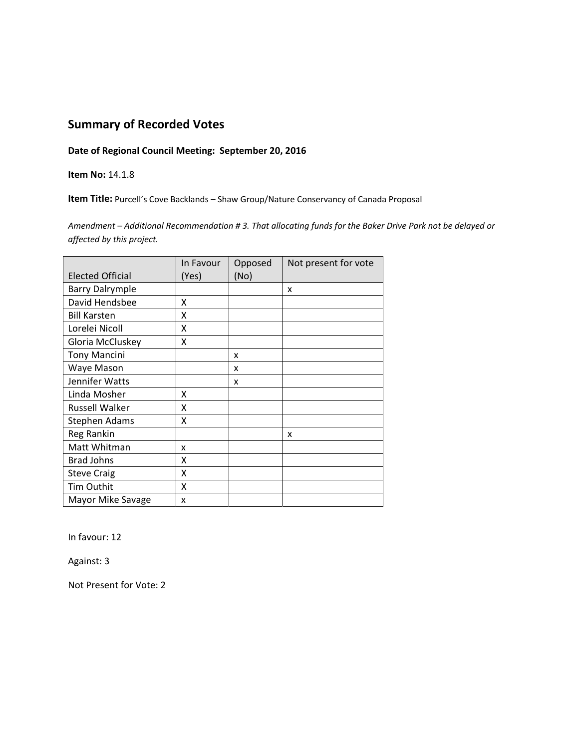### **Date of Regional Council Meeting: September 20, 2016**

#### **Item No:** 14.1.8

**Item Title:** Purcell's Cove Backlands – Shaw Group/Nature Conservancy of Canada Proposal

Amendment - Additional Recommendation #3. That allocating funds for the Baker Drive Park not be delayed or *affected by this project.*

|                         | In Favour | Opposed | Not present for vote |
|-------------------------|-----------|---------|----------------------|
| <b>Elected Official</b> | (Yes)     | (No)    |                      |
| <b>Barry Dalrymple</b>  |           |         | X                    |
| David Hendsbee          | x         |         |                      |
| <b>Bill Karsten</b>     | x         |         |                      |
| Lorelei Nicoll          | x         |         |                      |
| Gloria McCluskey        | X         |         |                      |
| <b>Tony Mancini</b>     |           | x       |                      |
| Waye Mason              |           | x       |                      |
| Jennifer Watts          |           | x       |                      |
| Linda Mosher            | x         |         |                      |
| <b>Russell Walker</b>   | X         |         |                      |
| <b>Stephen Adams</b>    | X         |         |                      |
| Reg Rankin              |           |         | X                    |
| Matt Whitman            | x         |         |                      |
| <b>Brad Johns</b>       | x         |         |                      |
| <b>Steve Craig</b>      | X         |         |                      |
| Tim Outhit              | x         |         |                      |
| Mayor Mike Savage       | x         |         |                      |

In favour: 12

Against: 3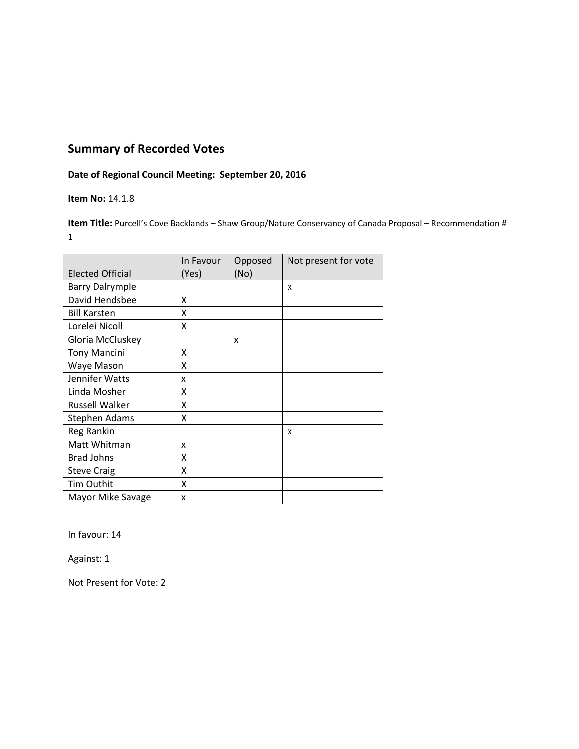## **Date of Regional Council Meeting: September 20, 2016**

### **Item No:** 14.1.8

**Item Title:** Purcell's Cove Backlands – Shaw Group/Nature Conservancy of Canada Proposal – Recommendation # 1

|                         | In Favour | Opposed | Not present for vote |
|-------------------------|-----------|---------|----------------------|
| <b>Elected Official</b> | (Yes)     | (No)    |                      |
| <b>Barry Dalrymple</b>  |           |         | x                    |
| David Hendsbee          | x         |         |                      |
| <b>Bill Karsten</b>     | x         |         |                      |
| Lorelei Nicoll          | x         |         |                      |
| Gloria McCluskey        |           | x       |                      |
| <b>Tony Mancini</b>     | x         |         |                      |
| Waye Mason              | X         |         |                      |
| Jennifer Watts          | x         |         |                      |
| Linda Mosher            | x         |         |                      |
| <b>Russell Walker</b>   | X         |         |                      |
| Stephen Adams           | x         |         |                      |
| Reg Rankin              |           |         | x                    |
| Matt Whitman            | x         |         |                      |
| <b>Brad Johns</b>       | X         |         |                      |
| <b>Steve Craig</b>      | X         |         |                      |
| <b>Tim Outhit</b>       | x         |         |                      |
| Mayor Mike Savage       | x         |         |                      |

In favour: 14

Against: 1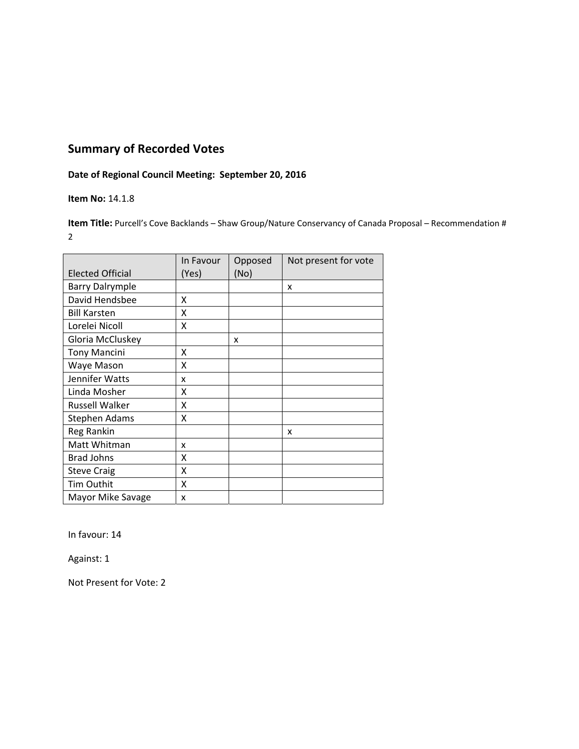## **Date of Regional Council Meeting: September 20, 2016**

### **Item No:** 14.1.8

**Item Title:** Purcell's Cove Backlands – Shaw Group/Nature Conservancy of Canada Proposal – Recommendation # 2

|                         | In Favour | Opposed | Not present for vote |
|-------------------------|-----------|---------|----------------------|
| <b>Elected Official</b> | (Yes)     | (No)    |                      |
| <b>Barry Dalrymple</b>  |           |         | x                    |
| David Hendsbee          | x         |         |                      |
| <b>Bill Karsten</b>     | x         |         |                      |
| Lorelei Nicoll          | X         |         |                      |
| Gloria McCluskey        |           | x       |                      |
| <b>Tony Mancini</b>     | x         |         |                      |
| Waye Mason              | X         |         |                      |
| Jennifer Watts          | x         |         |                      |
| Linda Mosher            | X         |         |                      |
| <b>Russell Walker</b>   | x         |         |                      |
| <b>Stephen Adams</b>    | X         |         |                      |
| Reg Rankin              |           |         | X                    |
| Matt Whitman            | x         |         |                      |
| <b>Brad Johns</b>       | x         |         |                      |
| <b>Steve Craig</b>      | x         |         |                      |
| Tim Outhit              | x         |         |                      |
| Mayor Mike Savage       | x         |         |                      |

In favour: 14

Against: 1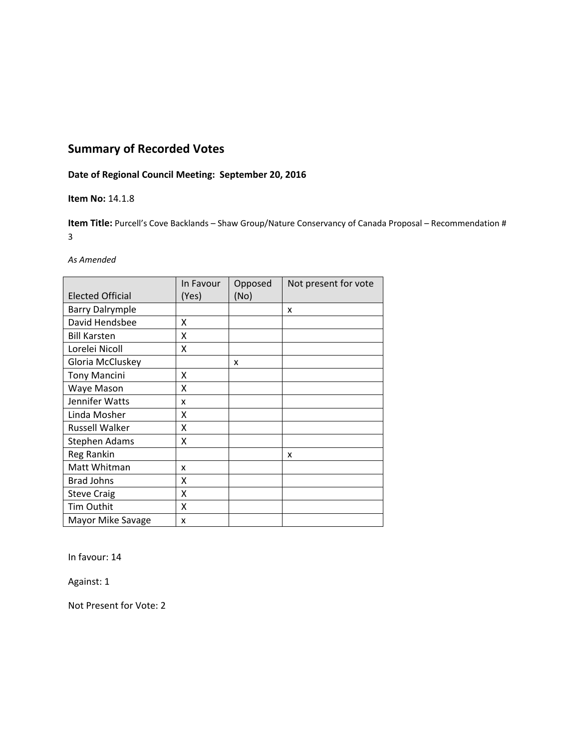## **Date of Regional Council Meeting: September 20, 2016**

### **Item No:** 14.1.8

**Item Title:** Purcell's Cove Backlands – Shaw Group/Nature Conservancy of Canada Proposal – Recommendation # 3

#### *As Amended*

|                         | In Favour | Opposed | Not present for vote |
|-------------------------|-----------|---------|----------------------|
| <b>Elected Official</b> | (Yes)     | (No)    |                      |
| <b>Barry Dalrymple</b>  |           |         | x                    |
| David Hendsbee          | x         |         |                      |
| <b>Bill Karsten</b>     | x         |         |                      |
| Lorelei Nicoll          | x         |         |                      |
| Gloria McCluskey        |           | x       |                      |
| <b>Tony Mancini</b>     | Χ         |         |                      |
| Waye Mason              | Χ         |         |                      |
| Jennifer Watts          | x         |         |                      |
| Linda Mosher            | X         |         |                      |
| <b>Russell Walker</b>   | x         |         |                      |
| <b>Stephen Adams</b>    | x         |         |                      |
| Reg Rankin              |           |         | X                    |
| Matt Whitman            | x         |         |                      |
| <b>Brad Johns</b>       | x         |         |                      |
| <b>Steve Craig</b>      | x         |         |                      |
| Tim Outhit              | x         |         |                      |
| Mayor Mike Savage       | x         |         |                      |

In favour: 14

Against: 1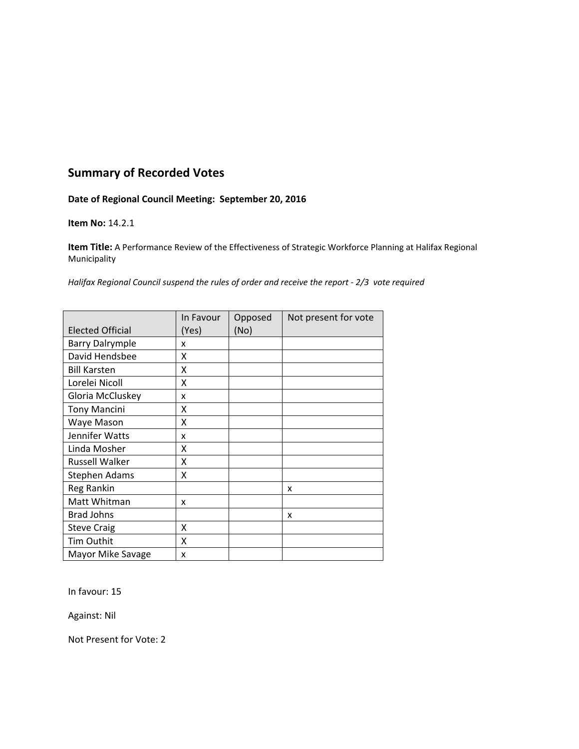### **Date of Regional Council Meeting: September 20, 2016**

#### **Item No:** 14.2.1

**Item Title:** A Performance Review of the Effectiveness of Strategic Workforce Planning at Halifax Regional Municipality

*Halifax Regional Council suspend the rules of order and receive the report ‐ 2/3 vote required*

|                         | In Favour | Opposed | Not present for vote |
|-------------------------|-----------|---------|----------------------|
| <b>Elected Official</b> | (Yes)     | (No)    |                      |
| <b>Barry Dalrymple</b>  | x         |         |                      |
| David Hendsbee          | X         |         |                      |
| <b>Bill Karsten</b>     | X         |         |                      |
| Lorelei Nicoll          | X         |         |                      |
| Gloria McCluskey        | x         |         |                      |
| <b>Tony Mancini</b>     | x         |         |                      |
| Waye Mason              | x         |         |                      |
| Jennifer Watts          | x         |         |                      |
| Linda Mosher            | X         |         |                      |
| Russell Walker          | X         |         |                      |
| Stephen Adams           | X         |         |                      |
| Reg Rankin              |           |         | x                    |
| Matt Whitman            | x         |         |                      |
| <b>Brad Johns</b>       |           |         | X                    |
| <b>Steve Craig</b>      | X         |         |                      |
| Tim Outhit              | x         |         |                      |
| Mayor Mike Savage       | x         |         |                      |

In favour: 15

Against: Nil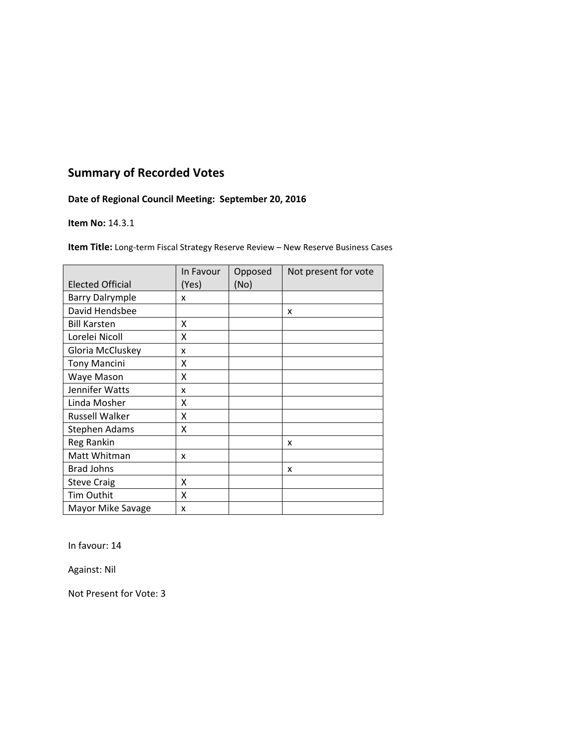## **Date of Regional Council Meeting: September 20, 2016**

#### **Item No:** 14.3.1

**Item Title:** Long‐term Fiscal Strategy Reserve Review – New Reserve Business Cases

| <b>Elected Official</b> | In Favour<br>(Yes) | Opposed<br>(No) | Not present for vote |
|-------------------------|--------------------|-----------------|----------------------|
| <b>Barry Dalrymple</b>  | x                  |                 |                      |
| David Hendsbee          |                    |                 | x                    |
| <b>Bill Karsten</b>     | X                  |                 |                      |
| Lorelei Nicoll          | X                  |                 |                      |
| Gloria McCluskey        | x                  |                 |                      |
| <b>Tony Mancini</b>     | X                  |                 |                      |
| Waye Mason              | X                  |                 |                      |
| Jennifer Watts          | x                  |                 |                      |
| Linda Mosher            | x                  |                 |                      |
| <b>Russell Walker</b>   | x                  |                 |                      |
| Stephen Adams           | x                  |                 |                      |
| Reg Rankin              |                    |                 | x                    |
| Matt Whitman            | x                  |                 |                      |
| <b>Brad Johns</b>       |                    |                 | x                    |
| <b>Steve Craig</b>      | X                  |                 |                      |
| Tim Outhit              | x                  |                 |                      |
| Mayor Mike Savage       | x                  |                 |                      |

In favour: 14

Against: Nil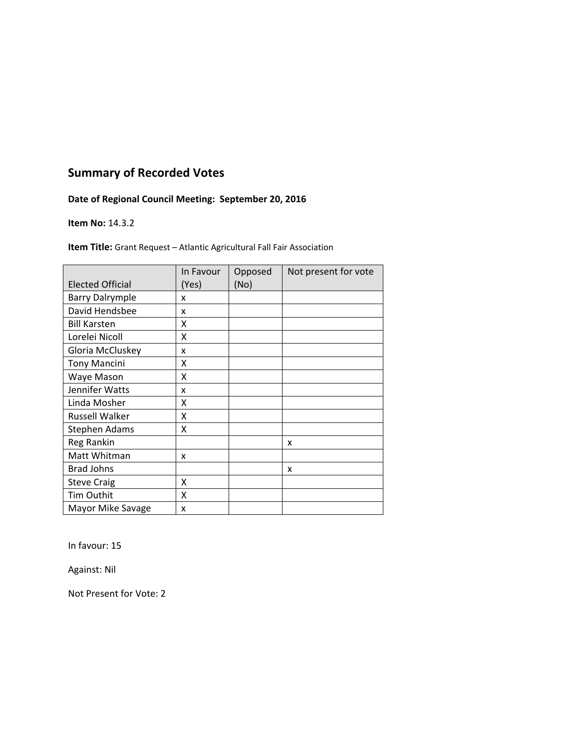## **Date of Regional Council Meeting: September 20, 2016**

#### **Item No:** 14.3.2

**Item Title:** Grant Request – Atlantic Agricultural Fall Fair Association

|                         | In Favour | Opposed | Not present for vote |
|-------------------------|-----------|---------|----------------------|
| <b>Elected Official</b> | (Yes)     | (No)    |                      |
| <b>Barry Dalrymple</b>  | x         |         |                      |
| David Hendsbee          | x         |         |                      |
| <b>Bill Karsten</b>     | X         |         |                      |
| Lorelei Nicoll          | X         |         |                      |
| Gloria McCluskey        | X         |         |                      |
| <b>Tony Mancini</b>     | X         |         |                      |
| Waye Mason              | X         |         |                      |
| Jennifer Watts          | X         |         |                      |
| Linda Mosher            | x         |         |                      |
| <b>Russell Walker</b>   | x         |         |                      |
| Stephen Adams           | x         |         |                      |
| Reg Rankin              |           |         | x                    |
| Matt Whitman            | x         |         |                      |
| <b>Brad Johns</b>       |           |         | x                    |
| <b>Steve Craig</b>      | x         |         |                      |
| Tim Outhit              | X         |         |                      |
| Mayor Mike Savage       | x         |         |                      |

In favour: 15

Against: Nil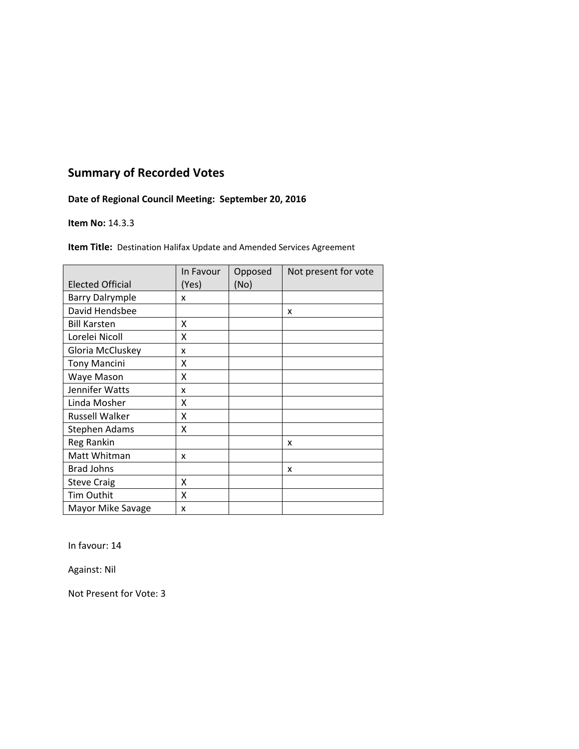## **Date of Regional Council Meeting: September 20, 2016**

#### **Item No:** 14.3.3

**Item Title:** Destination Halifax Update and Amended Services Agreement

| <b>Elected Official</b> | In Favour<br>(Yes) | Opposed<br>(No) | Not present for vote |
|-------------------------|--------------------|-----------------|----------------------|
| <b>Barry Dalrymple</b>  | x                  |                 |                      |
| David Hendsbee          |                    |                 | x                    |
| <b>Bill Karsten</b>     | x                  |                 |                      |
| Lorelei Nicoll          | X                  |                 |                      |
| Gloria McCluskey        | X                  |                 |                      |
| <b>Tony Mancini</b>     | X                  |                 |                      |
| Waye Mason              | x                  |                 |                      |
| Jennifer Watts          | X                  |                 |                      |
| Linda Mosher            | x                  |                 |                      |
| <b>Russell Walker</b>   | X                  |                 |                      |
| <b>Stephen Adams</b>    | Χ                  |                 |                      |
| Reg Rankin              |                    |                 | x                    |
| Matt Whitman            | x                  |                 |                      |
| <b>Brad Johns</b>       |                    |                 | x                    |
| <b>Steve Craig</b>      | x                  |                 |                      |
| Tim Outhit              | x                  |                 |                      |
| Mayor Mike Savage       | x                  |                 |                      |

In favour: 14

Against: Nil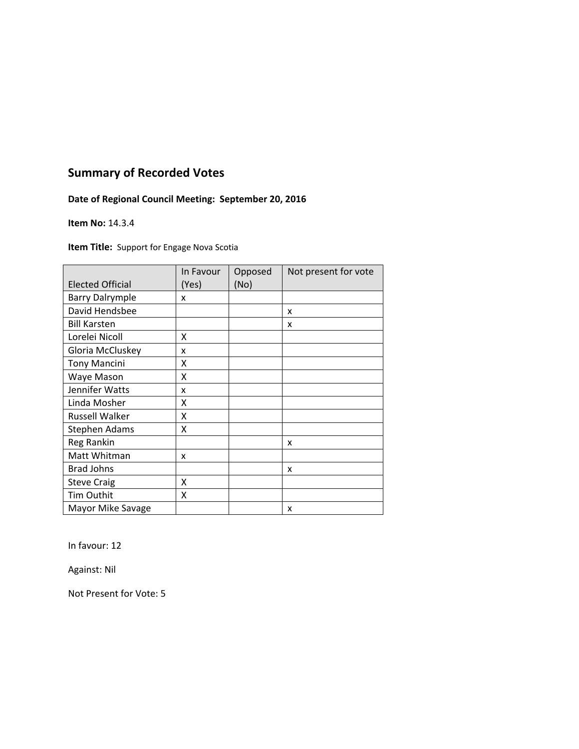## **Date of Regional Council Meeting: September 20, 2016**

#### **Item No:** 14.3.4

**Item Title:** Support for Engage Nova Scotia

|                         | In Favour | Opposed | Not present for vote |
|-------------------------|-----------|---------|----------------------|
| <b>Elected Official</b> | (Yes)     | (No)    |                      |
| <b>Barry Dalrymple</b>  | x         |         |                      |
| David Hendsbee          |           |         | x                    |
| <b>Bill Karsten</b>     |           |         | x                    |
| Lorelei Nicoll          | X         |         |                      |
| Gloria McCluskey        | x         |         |                      |
| <b>Tony Mancini</b>     | x         |         |                      |
| Waye Mason              | X         |         |                      |
| Jennifer Watts          | x         |         |                      |
| Linda Mosher            | x         |         |                      |
| <b>Russell Walker</b>   | x         |         |                      |
| <b>Stephen Adams</b>    | X         |         |                      |
| Reg Rankin              |           |         | x                    |
| Matt Whitman            | x         |         |                      |
| <b>Brad Johns</b>       |           |         | x                    |
| <b>Steve Craig</b>      | X         |         |                      |
| Tim Outhit              | x         |         |                      |
| Mayor Mike Savage       |           |         | x                    |

In favour: 12

Against: Nil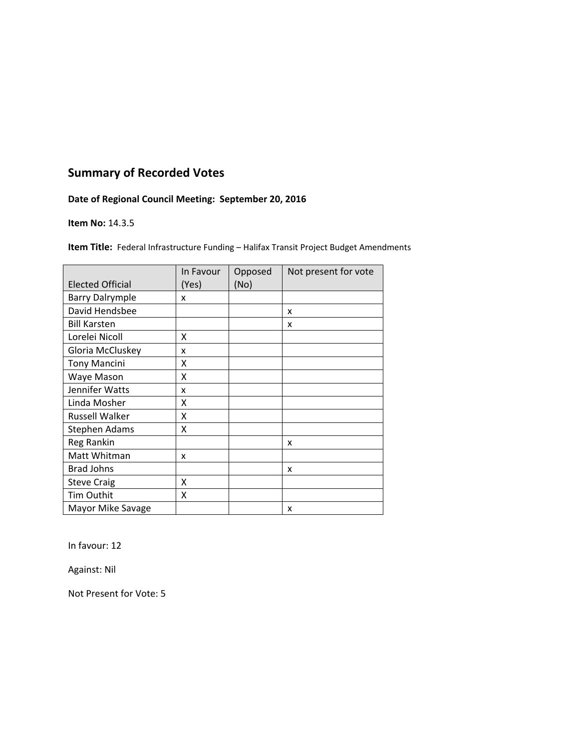## **Date of Regional Council Meeting: September 20, 2016**

#### **Item No:** 14.3.5

**Item Title:** Federal Infrastructure Funding - Halifax Transit Project Budget Amendments

|                         | In Favour | Opposed | Not present for vote |
|-------------------------|-----------|---------|----------------------|
| <b>Elected Official</b> | (Yes)     | (No)    |                      |
| <b>Barry Dalrymple</b>  | x         |         |                      |
| David Hendsbee          |           |         | x                    |
| <b>Bill Karsten</b>     |           |         | x                    |
| Lorelei Nicoll          | x         |         |                      |
| Gloria McCluskey        | x         |         |                      |
| <b>Tony Mancini</b>     | X         |         |                      |
| Waye Mason              | X         |         |                      |
| Jennifer Watts          | x         |         |                      |
| Linda Mosher            | χ         |         |                      |
| <b>Russell Walker</b>   | Χ         |         |                      |
| <b>Stephen Adams</b>    | X         |         |                      |
| Reg Rankin              |           |         | x                    |
| Matt Whitman            | x         |         |                      |
| <b>Brad Johns</b>       |           |         | x                    |
| <b>Steve Craig</b>      | x         |         |                      |
| Tim Outhit              | X         |         |                      |
| Mayor Mike Savage       |           |         | x                    |

In favour: 12

Against: Nil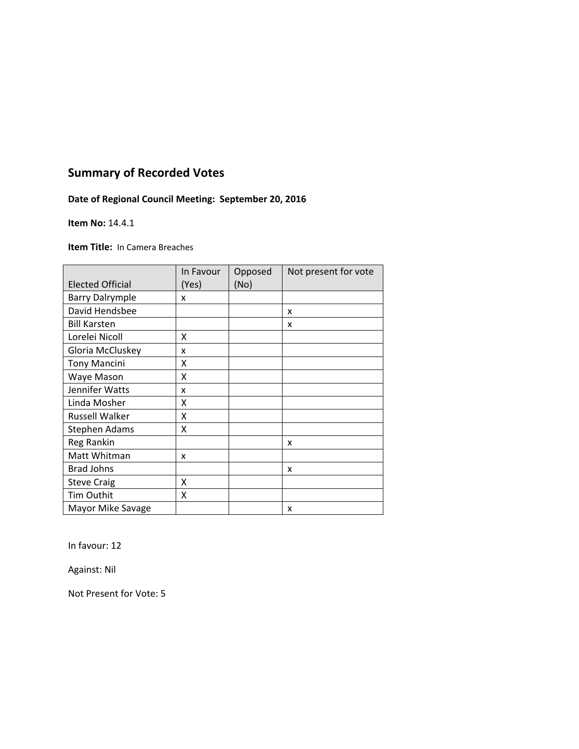## **Date of Regional Council Meeting: September 20, 2016**

#### **Item No:** 14.4.1

**Item Title:** In Camera Breaches

|                         | In Favour | Opposed | Not present for vote |
|-------------------------|-----------|---------|----------------------|
| <b>Elected Official</b> | (Yes)     | (No)    |                      |
| <b>Barry Dalrymple</b>  | x         |         |                      |
| David Hendsbee          |           |         | X                    |
| <b>Bill Karsten</b>     |           |         | x                    |
| Lorelei Nicoll          | x         |         |                      |
| Gloria McCluskey        | x         |         |                      |
| <b>Tony Mancini</b>     | X         |         |                      |
| Waye Mason              | Χ         |         |                      |
| Jennifer Watts          | x         |         |                      |
| Linda Mosher            | χ         |         |                      |
| <b>Russell Walker</b>   | χ         |         |                      |
| Stephen Adams           | Χ         |         |                      |
| Reg Rankin              |           |         | x                    |
| Matt Whitman            | x         |         |                      |
| <b>Brad Johns</b>       |           |         | x                    |
| <b>Steve Craig</b>      | X         |         |                      |
| Tim Outhit              | Χ         |         |                      |
| Mayor Mike Savage       |           |         | x                    |

In favour: 12

Against: Nil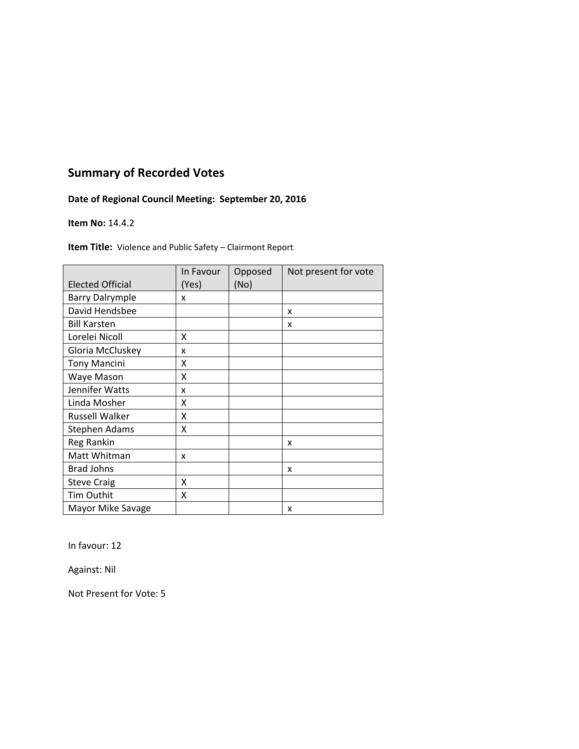## **Date of Regional Council Meeting: September 20, 2016**

#### **Item No:** 14.4.2

**Item Title:** Violence and Public Safety – Clairmont Report

|                         | In Favour | Opposed | Not present for vote |
|-------------------------|-----------|---------|----------------------|
| <b>Elected Official</b> | (Yes)     | (No)    |                      |
| <b>Barry Dalrymple</b>  | x         |         |                      |
| David Hendsbee          |           |         | x                    |
| <b>Bill Karsten</b>     |           |         | x                    |
| Lorelei Nicoll          | x         |         |                      |
| Gloria McCluskey        | x         |         |                      |
| <b>Tony Mancini</b>     | Χ         |         |                      |
| Waye Mason              | χ         |         |                      |
| Jennifer Watts          | x         |         |                      |
| Linda Mosher            | χ         |         |                      |
| <b>Russell Walker</b>   | χ         |         |                      |
| <b>Stephen Adams</b>    | χ         |         |                      |
| Reg Rankin              |           |         | x                    |
| Matt Whitman            | x         |         |                      |
| <b>Brad Johns</b>       |           |         | x                    |
| <b>Steve Craig</b>      | x         |         |                      |
| Tim Outhit              | Χ         |         |                      |
| Mayor Mike Savage       |           |         | x                    |

In favour: 12

Against: Nil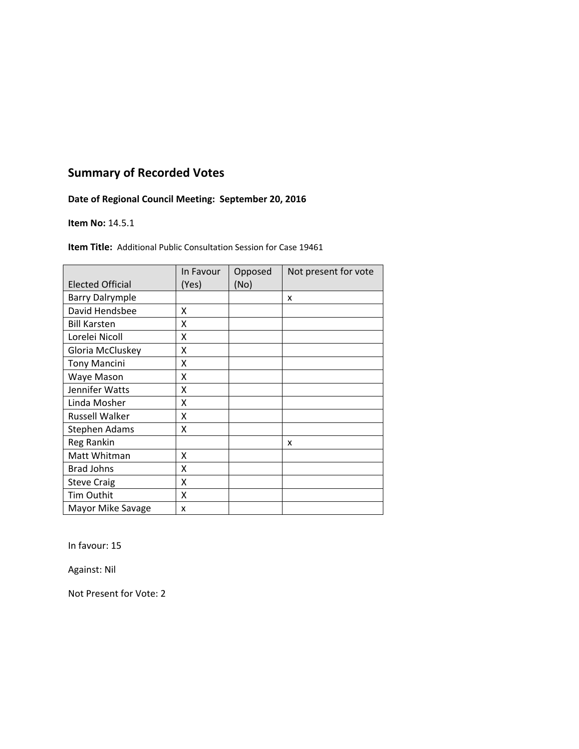## **Date of Regional Council Meeting: September 20, 2016**

#### **Item No:** 14.5.1

**Item Title:** Additional Public Consultation Session for Case 19461

|                         | In Favour | Opposed | Not present for vote |
|-------------------------|-----------|---------|----------------------|
| <b>Elected Official</b> | (Yes)     | (No)    |                      |
| <b>Barry Dalrymple</b>  |           |         | X                    |
| David Hendsbee          | X         |         |                      |
| <b>Bill Karsten</b>     | x         |         |                      |
| Lorelei Nicoll          | x         |         |                      |
| Gloria McCluskey        | X         |         |                      |
| <b>Tony Mancini</b>     | Χ         |         |                      |
| Waye Mason              | x         |         |                      |
| Jennifer Watts          | χ         |         |                      |
| Linda Mosher            | x         |         |                      |
| <b>Russell Walker</b>   | x         |         |                      |
| <b>Stephen Adams</b>    | χ         |         |                      |
| Reg Rankin              |           |         | x                    |
| Matt Whitman            | X         |         |                      |
| <b>Brad Johns</b>       | X         |         |                      |
| <b>Steve Craig</b>      | Χ         |         |                      |
| Tim Outhit              | X         |         |                      |
| Mayor Mike Savage       | x         |         |                      |

In favour: 15

Against: Nil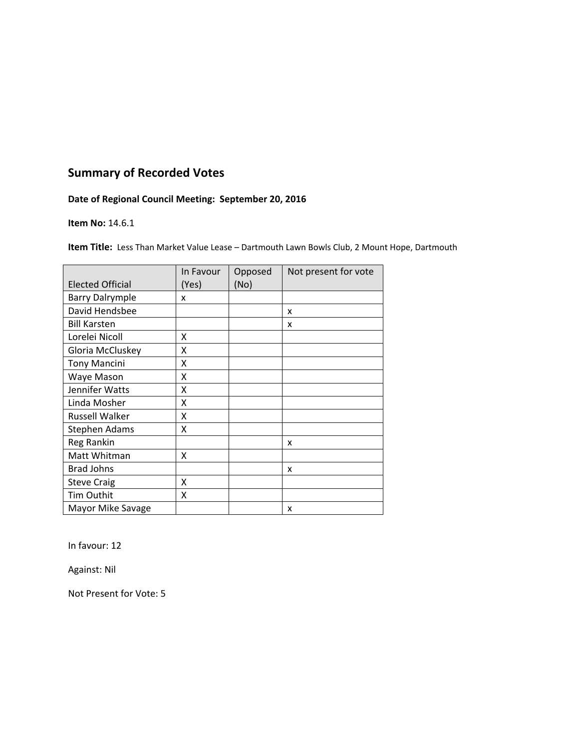## **Date of Regional Council Meeting: September 20, 2016**

#### **Item No:** 14.6.1

**Item Title:** Less Than Market Value Lease – Dartmouth Lawn Bowls Club, 2 Mount Hope, Dartmouth

|                         | In Favour | Opposed | Not present for vote |
|-------------------------|-----------|---------|----------------------|
| <b>Elected Official</b> | (Yes)     | (No)    |                      |
| <b>Barry Dalrymple</b>  | x         |         |                      |
| David Hendsbee          |           |         | x                    |
| <b>Bill Karsten</b>     |           |         | x                    |
| Lorelei Nicoll          | x         |         |                      |
| Gloria McCluskey        | x         |         |                      |
| <b>Tony Mancini</b>     | x         |         |                      |
| Waye Mason              | x         |         |                      |
| Jennifer Watts          | x         |         |                      |
| Linda Mosher            | x         |         |                      |
| <b>Russell Walker</b>   | X         |         |                      |
| <b>Stephen Adams</b>    | Χ         |         |                      |
| Reg Rankin              |           |         | x                    |
| Matt Whitman            | x         |         |                      |
| <b>Brad Johns</b>       |           |         | X                    |
| <b>Steve Craig</b>      | X         |         |                      |
| <b>Tim Outhit</b>       | x         |         |                      |
| Mayor Mike Savage       |           |         | X                    |

In favour: 12

Against: Nil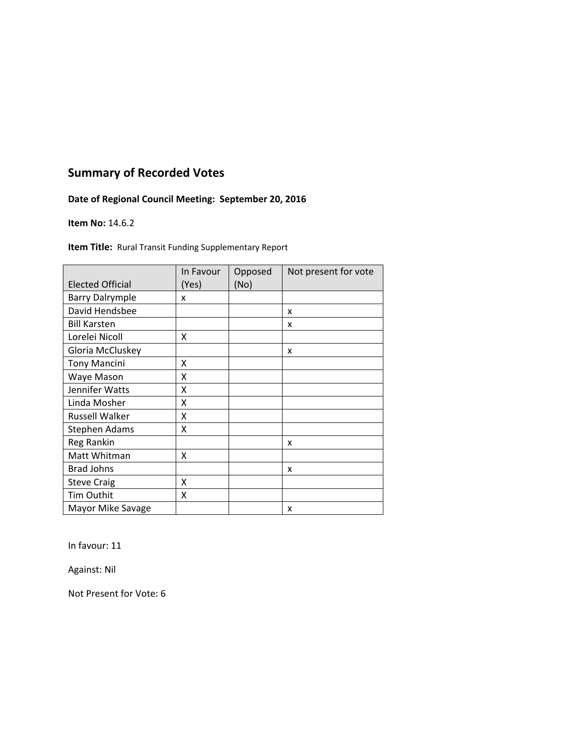## **Date of Regional Council Meeting: September 20, 2016**

#### **Item No:** 14.6.2

**Item Title:** Rural Transit Funding Supplementary Report

|                         | In Favour | Opposed | Not present for vote |
|-------------------------|-----------|---------|----------------------|
| <b>Elected Official</b> | (Yes)     | (No)    |                      |
| <b>Barry Dalrymple</b>  | x         |         |                      |
| David Hendsbee          |           |         | X                    |
| <b>Bill Karsten</b>     |           |         | x                    |
| Lorelei Nicoll          | x         |         |                      |
| Gloria McCluskey        |           |         | x                    |
| <b>Tony Mancini</b>     | x         |         |                      |
| Waye Mason              | χ         |         |                      |
| Jennifer Watts          | x         |         |                      |
| Linda Mosher            | X         |         |                      |
| <b>Russell Walker</b>   | Χ         |         |                      |
| <b>Stephen Adams</b>    | X         |         |                      |
| Reg Rankin              |           |         | x                    |
| Matt Whitman            | Χ         |         |                      |
| <b>Brad Johns</b>       |           |         | X                    |
| <b>Steve Craig</b>      | X         |         |                      |
| Tim Outhit              | x         |         |                      |
| Mayor Mike Savage       |           |         | X                    |

In favour: 11

Against: Nil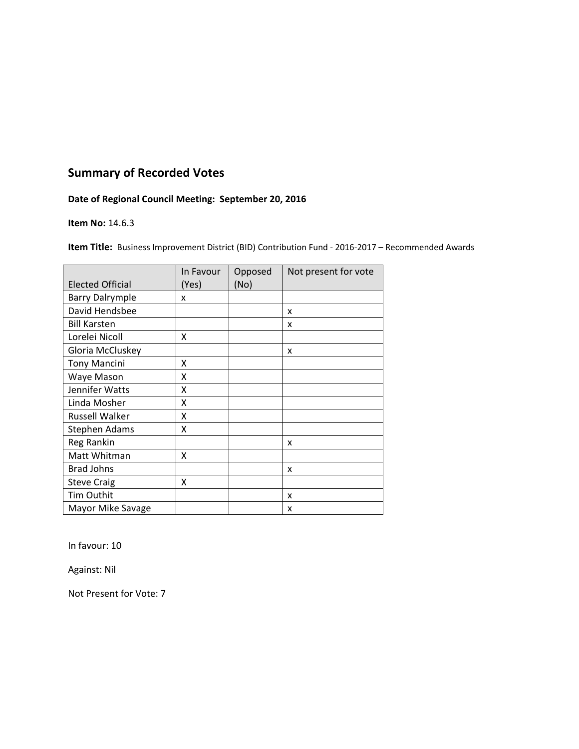## **Date of Regional Council Meeting: September 20, 2016**

#### **Item No:** 14.6.3

**Item Title:** Business Improvement District (BID) Contribution Fund - 2016-2017 – Recommended Awards

|                         | In Favour | Opposed | Not present for vote |
|-------------------------|-----------|---------|----------------------|
| <b>Elected Official</b> | (Yes)     | (No)    |                      |
| <b>Barry Dalrymple</b>  | x         |         |                      |
| David Hendsbee          |           |         | x                    |
| <b>Bill Karsten</b>     |           |         | x                    |
| Lorelei Nicoll          | Χ         |         |                      |
| Gloria McCluskey        |           |         | x                    |
| <b>Tony Mancini</b>     | x         |         |                      |
| Waye Mason              | X         |         |                      |
| Jennifer Watts          | X         |         |                      |
| Linda Mosher            | x         |         |                      |
| <b>Russell Walker</b>   | X         |         |                      |
| <b>Stephen Adams</b>    | X         |         |                      |
| Reg Rankin              |           |         | x                    |
| Matt Whitman            | X         |         |                      |
| <b>Brad Johns</b>       |           |         | X                    |
| <b>Steve Craig</b>      | x         |         |                      |
| <b>Tim Outhit</b>       |           |         | X                    |
| Mayor Mike Savage       |           |         | x                    |

In favour: 10

Against: Nil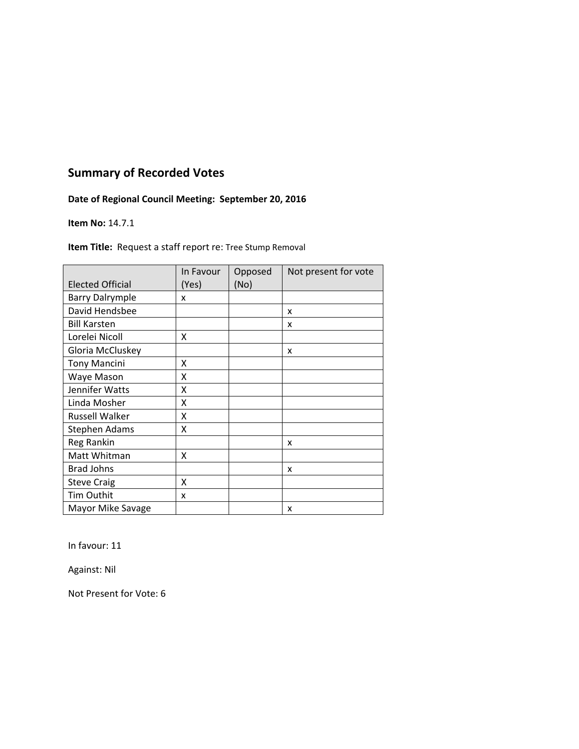## **Date of Regional Council Meeting: September 20, 2016**

#### **Item No:** 14.7.1

**Item Title:** Request a staff report re: Tree Stump Removal

|                         | In Favour | Opposed | Not present for vote |
|-------------------------|-----------|---------|----------------------|
| <b>Elected Official</b> | (Yes)     | (No)    |                      |
| <b>Barry Dalrymple</b>  | x         |         |                      |
| David Hendsbee          |           |         | X                    |
| <b>Bill Karsten</b>     |           |         | x                    |
| Lorelei Nicoll          | X         |         |                      |
| Gloria McCluskey        |           |         | x                    |
| <b>Tony Mancini</b>     | x         |         |                      |
| Waye Mason              | χ         |         |                      |
| Jennifer Watts          | x         |         |                      |
| Linda Mosher            | Χ         |         |                      |
| <b>Russell Walker</b>   | Χ         |         |                      |
| <b>Stephen Adams</b>    | X         |         |                      |
| Reg Rankin              |           |         | x                    |
| Matt Whitman            | X         |         |                      |
| <b>Brad Johns</b>       |           |         | x                    |
| <b>Steve Craig</b>      | x         |         |                      |
| Tim Outhit              | x         |         |                      |
| Mayor Mike Savage       |           |         | x                    |

In favour: 11

Against: Nil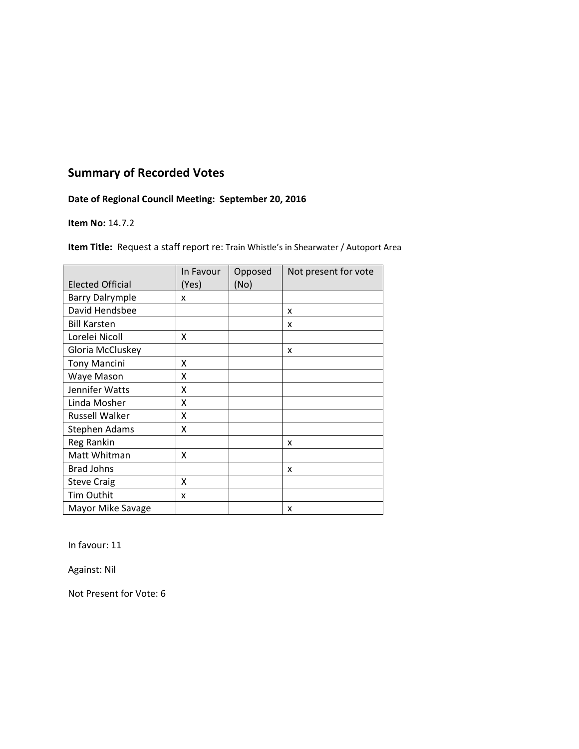## **Date of Regional Council Meeting: September 20, 2016**

#### **Item No:** 14.7.2

**Item Title:** Request a staff report re: Train Whistle's in Shearwater / Autoport Area

|                         | In Favour | Opposed | Not present for vote |
|-------------------------|-----------|---------|----------------------|
| <b>Elected Official</b> | (Yes)     | (No)    |                      |
| <b>Barry Dalrymple</b>  | x         |         |                      |
| David Hendsbee          |           |         | x                    |
| <b>Bill Karsten</b>     |           |         | x                    |
| Lorelei Nicoll          | X         |         |                      |
| Gloria McCluskey        |           |         | x                    |
| <b>Tony Mancini</b>     | X         |         |                      |
| Waye Mason              | X         |         |                      |
| Jennifer Watts          | X         |         |                      |
| Linda Mosher            | x         |         |                      |
| Russell Walker          | x         |         |                      |
| <b>Stephen Adams</b>    | x         |         |                      |
| Reg Rankin              |           |         | x                    |
| Matt Whitman            | X         |         |                      |
| <b>Brad Johns</b>       |           |         | x                    |
| <b>Steve Craig</b>      | X         |         |                      |
| Tim Outhit              | x         |         |                      |
| Mayor Mike Savage       |           |         | x                    |

In favour: 11

Against: Nil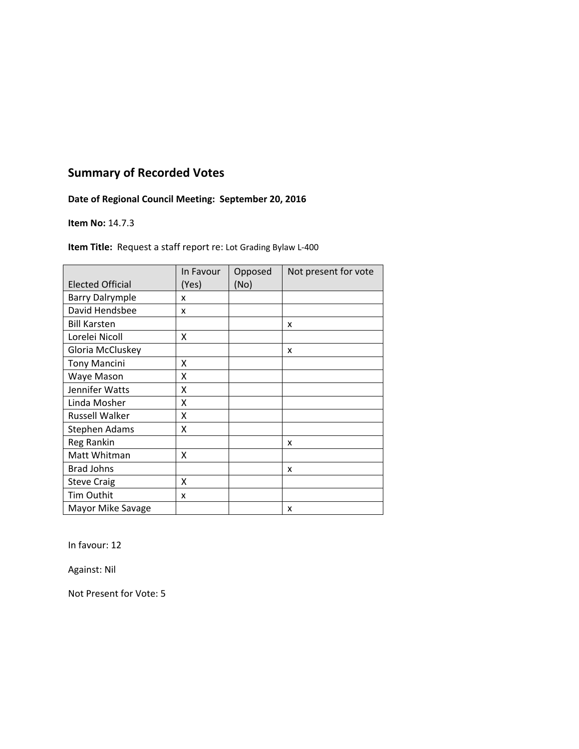## **Date of Regional Council Meeting: September 20, 2016**

#### **Item No:** 14.7.3

**Item Title:** Request a staff report re: Lot Grading Bylaw L-400

|                         | In Favour | Opposed | Not present for vote |
|-------------------------|-----------|---------|----------------------|
| <b>Elected Official</b> | (Yes)     | (No)    |                      |
| <b>Barry Dalrymple</b>  | x         |         |                      |
| David Hendsbee          | X         |         |                      |
| <b>Bill Karsten</b>     |           |         | x                    |
| Lorelei Nicoll          | X         |         |                      |
| Gloria McCluskey        |           |         | x                    |
| <b>Tony Mancini</b>     | x         |         |                      |
| Waye Mason              | χ         |         |                      |
| Jennifer Watts          | χ         |         |                      |
| Linda Mosher            | Χ         |         |                      |
| <b>Russell Walker</b>   | Χ         |         |                      |
| <b>Stephen Adams</b>    | Χ         |         |                      |
| Reg Rankin              |           |         | x                    |
| Matt Whitman            | X         |         |                      |
| <b>Brad Johns</b>       |           |         | x                    |
| <b>Steve Craig</b>      | x         |         |                      |
| Tim Outhit              | x         |         |                      |
| Mayor Mike Savage       |           |         | x                    |

In favour: 12

Against: Nil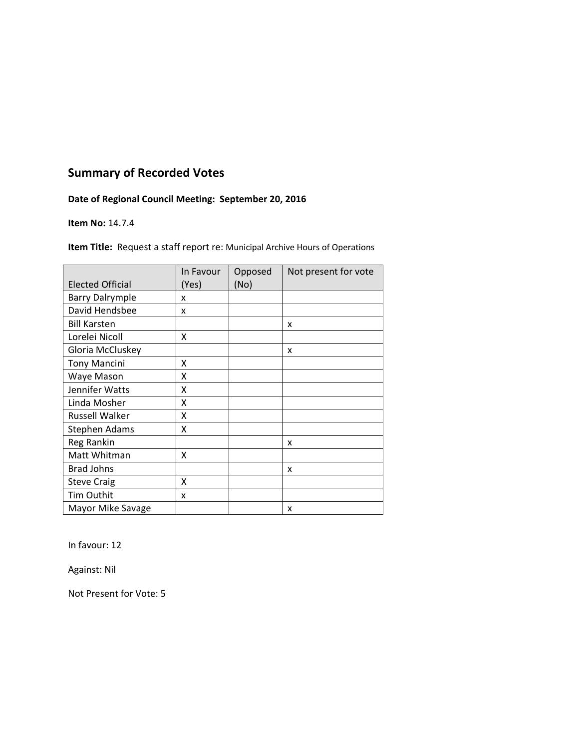## **Date of Regional Council Meeting: September 20, 2016**

#### **Item No:** 14.7.4

**Item Title:** Request a staff report re: Municipal Archive Hours of Operations

|                         | In Favour | Opposed | Not present for vote |
|-------------------------|-----------|---------|----------------------|
| <b>Elected Official</b> | (Yes)     | (No)    |                      |
| <b>Barry Dalrymple</b>  | x         |         |                      |
| David Hendsbee          | x         |         |                      |
| <b>Bill Karsten</b>     |           |         | x                    |
| Lorelei Nicoll          | Χ         |         |                      |
| Gloria McCluskey        |           |         | X                    |
| <b>Tony Mancini</b>     | X         |         |                      |
| Waye Mason              | x         |         |                      |
| Jennifer Watts          | X         |         |                      |
| Linda Mosher            | χ         |         |                      |
| <b>Russell Walker</b>   | χ         |         |                      |
| <b>Stephen Adams</b>    | x         |         |                      |
| Reg Rankin              |           |         | x                    |
| Matt Whitman            | Χ         |         |                      |
| <b>Brad Johns</b>       |           |         | x                    |
| <b>Steve Craig</b>      | x         |         |                      |
| <b>Tim Outhit</b>       | x         |         |                      |
| Mayor Mike Savage       |           |         | x                    |

In favour: 12

Against: Nil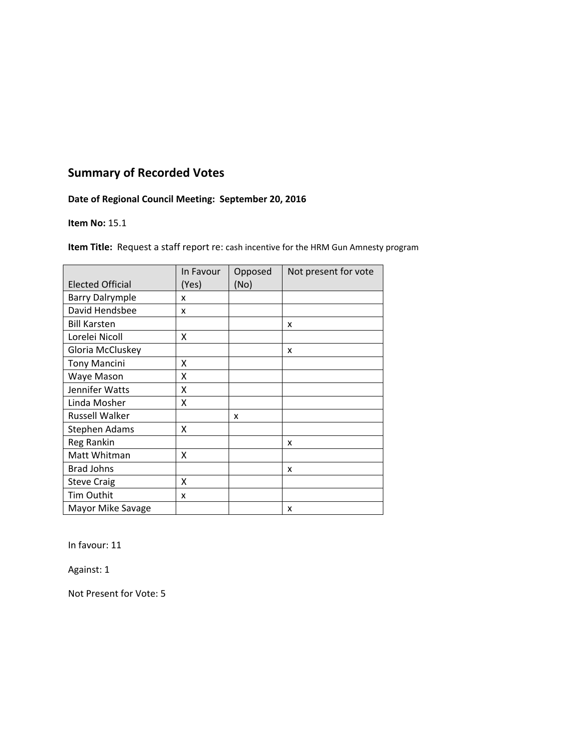## **Date of Regional Council Meeting: September 20, 2016**

#### **Item No:** 15.1

**Item Title:** Request a staff report re: cash incentive for the HRM Gun Amnesty program

|                         | In Favour | Opposed | Not present for vote |
|-------------------------|-----------|---------|----------------------|
| <b>Elected Official</b> | (Yes)     | (No)    |                      |
| <b>Barry Dalrymple</b>  | x         |         |                      |
| David Hendsbee          | x         |         |                      |
| <b>Bill Karsten</b>     |           |         | x                    |
| Lorelei Nicoll          | Χ         |         |                      |
| Gloria McCluskey        |           |         | x                    |
| <b>Tony Mancini</b>     | x         |         |                      |
| Waye Mason              | x         |         |                      |
| Jennifer Watts          | X         |         |                      |
| Linda Mosher            | x         |         |                      |
| <b>Russell Walker</b>   |           | x       |                      |
| <b>Stephen Adams</b>    | x         |         |                      |
| Reg Rankin              |           |         | x                    |
| Matt Whitman            | X         |         |                      |
| <b>Brad Johns</b>       |           |         | x                    |
| <b>Steve Craig</b>      | x         |         |                      |
| <b>Tim Outhit</b>       | x         |         |                      |
| Mayor Mike Savage       |           |         | x                    |

In favour: 11

Against: 1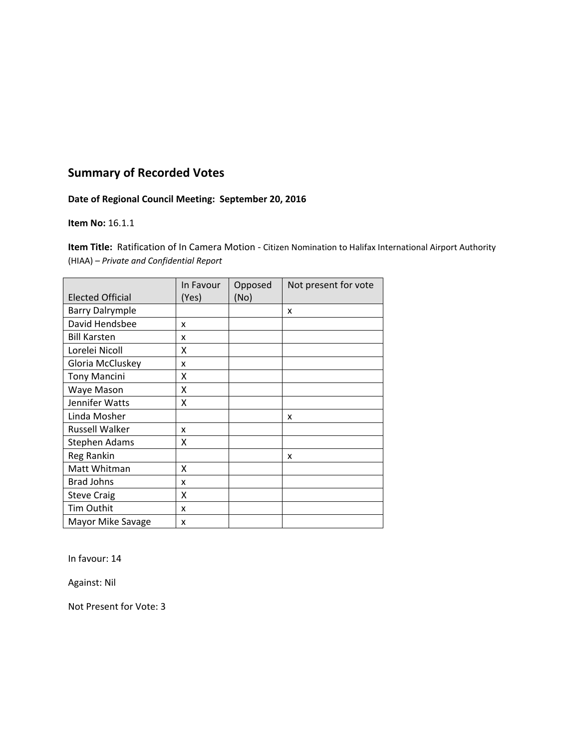### **Date of Regional Council Meeting: September 20, 2016**

#### **Item No:** 16.1.1

**Item Title:** Ratification of In Camera Motion ‐ Citizen Nomination to Halifax International Airport Authority (HIAA) *– Private and Confidential Report* 

|                         | In Favour | Opposed | Not present for vote |
|-------------------------|-----------|---------|----------------------|
| <b>Elected Official</b> | (Yes)     | (No)    |                      |
| <b>Barry Dalrymple</b>  |           |         | x                    |
| David Hendsbee          | x         |         |                      |
| <b>Bill Karsten</b>     | x         |         |                      |
| Lorelei Nicoll          | x         |         |                      |
| Gloria McCluskey        | x         |         |                      |
| <b>Tony Mancini</b>     | x         |         |                      |
| Waye Mason              | Χ         |         |                      |
| Jennifer Watts          | X         |         |                      |
| Linda Mosher            |           |         | x                    |
| <b>Russell Walker</b>   | x         |         |                      |
| <b>Stephen Adams</b>    | x         |         |                      |
| Reg Rankin              |           |         | x                    |
| Matt Whitman            | x         |         |                      |
| <b>Brad Johns</b>       | x         |         |                      |
| <b>Steve Craig</b>      | X         |         |                      |
| <b>Tim Outhit</b>       | x         |         |                      |
| Mayor Mike Savage       | x         |         |                      |

In favour: 14

Against: Nil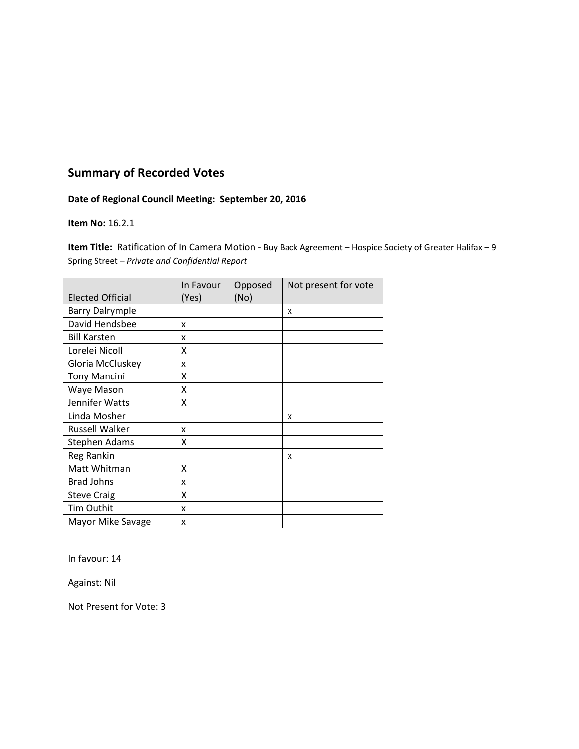### **Date of Regional Council Meeting: September 20, 2016**

#### **Item No:** 16.2.1

**Item Title:** Ratification of In Camera Motion - Buy Back Agreement – Hospice Society of Greater Halifax – 9 Spring Street – *Private and Confidential Report*

|                         | In Favour | Opposed | Not present for vote |
|-------------------------|-----------|---------|----------------------|
| <b>Elected Official</b> | (Yes)     | (No)    |                      |
| <b>Barry Dalrymple</b>  |           |         | X                    |
| David Hendsbee          | X         |         |                      |
| <b>Bill Karsten</b>     | x         |         |                      |
| Lorelei Nicoll          | x         |         |                      |
| Gloria McCluskey        | X         |         |                      |
| <b>Tony Mancini</b>     | x         |         |                      |
| Waye Mason              | X         |         |                      |
| Jennifer Watts          | X         |         |                      |
| Linda Mosher            |           |         | x                    |
| <b>Russell Walker</b>   | x         |         |                      |
| <b>Stephen Adams</b>    | x         |         |                      |
| <b>Reg Rankin</b>       |           |         | x                    |
| Matt Whitman            | X         |         |                      |
| <b>Brad Johns</b>       | x         |         |                      |
| <b>Steve Craig</b>      | x         |         |                      |
| <b>Tim Outhit</b>       | x         |         |                      |
| Mayor Mike Savage       | x         |         |                      |

In favour: 14

Against: Nil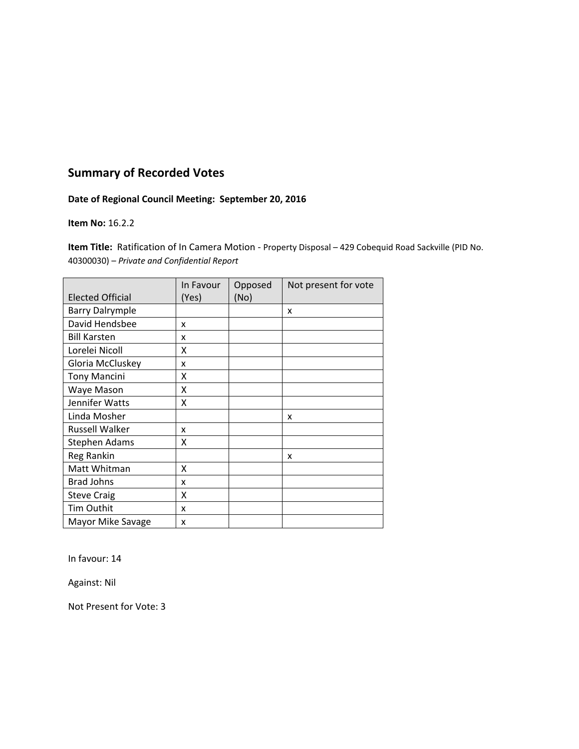### **Date of Regional Council Meeting: September 20, 2016**

#### **Item No:** 16.2.2

**Item Title:** Ratification of In Camera Motion ‐ Property Disposal – 429 Cobequid Road Sackville (PID No. 40300030) – *Private and Confidential Report*

|                         | In Favour | Opposed | Not present for vote |
|-------------------------|-----------|---------|----------------------|
| <b>Elected Official</b> | (Yes)     | (No)    |                      |
| <b>Barry Dalrymple</b>  |           |         | x                    |
| David Hendsbee          | x         |         |                      |
| <b>Bill Karsten</b>     | x         |         |                      |
| Lorelei Nicoll          | x         |         |                      |
| Gloria McCluskey        | X         |         |                      |
| <b>Tony Mancini</b>     | X         |         |                      |
| Waye Mason              | χ         |         |                      |
| Jennifer Watts          | X         |         |                      |
| Linda Mosher            |           |         | x                    |
| <b>Russell Walker</b>   | x         |         |                      |
| <b>Stephen Adams</b>    | X         |         |                      |
| Reg Rankin              |           |         | x                    |
| Matt Whitman            | x         |         |                      |
| <b>Brad Johns</b>       | x         |         |                      |
| <b>Steve Craig</b>      | x         |         |                      |
| Tim Outhit              | x         |         |                      |
| Mayor Mike Savage       | x         |         |                      |

In favour: 14

Against: Nil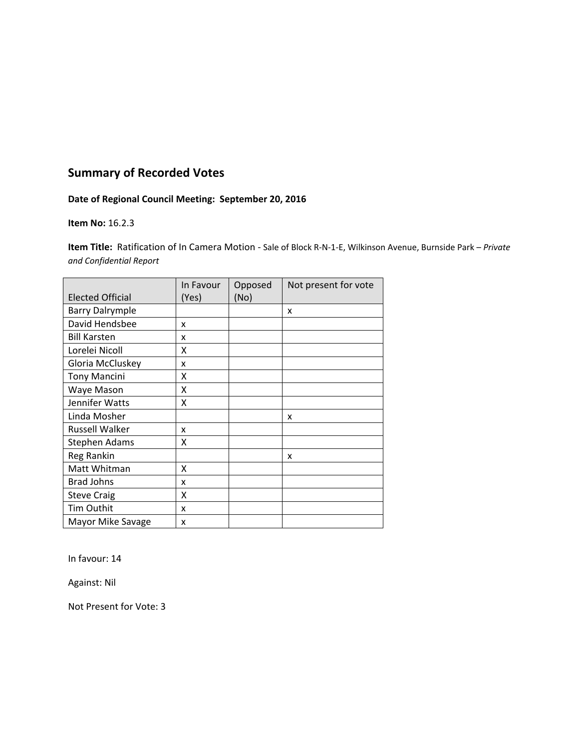### **Date of Regional Council Meeting: September 20, 2016**

#### **Item No:** 16.2.3

**Item Title:** Ratification of In Camera Motion ‐ Sale of Block R‐N‐1‐E, Wilkinson Avenue, Burnside Park – *Private and Confidential Report*

|                         | In Favour | Opposed | Not present for vote |
|-------------------------|-----------|---------|----------------------|
| <b>Elected Official</b> | (Yes)     | (No)    |                      |
| <b>Barry Dalrymple</b>  |           |         | X                    |
| David Hendsbee          | X         |         |                      |
| <b>Bill Karsten</b>     | x         |         |                      |
| Lorelei Nicoll          | x         |         |                      |
| Gloria McCluskey        | X         |         |                      |
| <b>Tony Mancini</b>     | x         |         |                      |
| Waye Mason              | X         |         |                      |
| Jennifer Watts          | X         |         |                      |
| Linda Mosher            |           |         | x                    |
| <b>Russell Walker</b>   | x         |         |                      |
| <b>Stephen Adams</b>    | x         |         |                      |
| <b>Reg Rankin</b>       |           |         | x                    |
| Matt Whitman            | X         |         |                      |
| <b>Brad Johns</b>       | x         |         |                      |
| <b>Steve Craig</b>      | x         |         |                      |
| <b>Tim Outhit</b>       | x         |         |                      |
| Mayor Mike Savage       | x         |         |                      |

In favour: 14

Against: Nil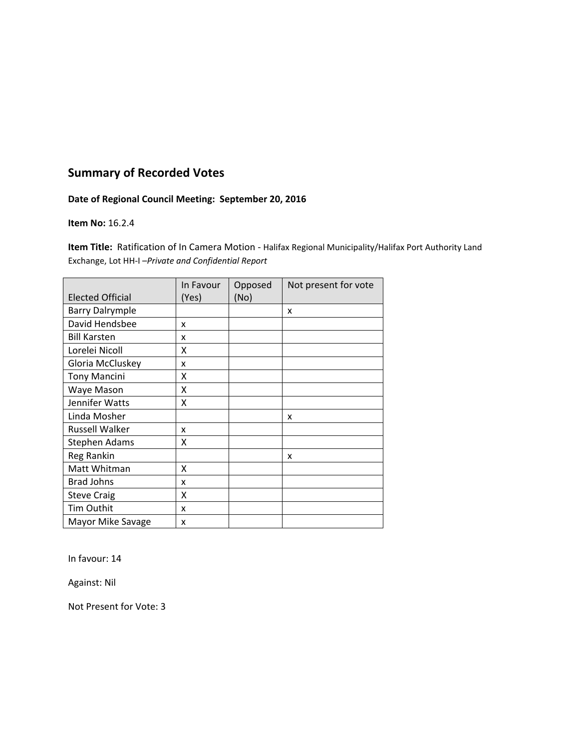### **Date of Regional Council Meeting: September 20, 2016**

#### **Item No:** 16.2.4

**Item Title:** Ratification of In Camera Motion ‐ Halifax Regional Municipality/Halifax Port Authority Land Exchange, Lot HH‐I –*Private and Confidential Report*

|                         | In Favour | Opposed | Not present for vote |
|-------------------------|-----------|---------|----------------------|
| <b>Elected Official</b> | (Yes)     | (No)    |                      |
| <b>Barry Dalrymple</b>  |           |         | x                    |
| David Hendsbee          | x         |         |                      |
| <b>Bill Karsten</b>     | x         |         |                      |
| Lorelei Nicoll          | x         |         |                      |
| Gloria McCluskey        | x         |         |                      |
| <b>Tony Mancini</b>     | x         |         |                      |
| Waye Mason              | Χ         |         |                      |
| Jennifer Watts          | Χ         |         |                      |
| Linda Mosher            |           |         | x                    |
| <b>Russell Walker</b>   | x         |         |                      |
| Stephen Adams           | x         |         |                      |
| <b>Reg Rankin</b>       |           |         | x                    |
| Matt Whitman            | X         |         |                      |
| <b>Brad Johns</b>       | x         |         |                      |
| <b>Steve Craig</b>      | X         |         |                      |
| <b>Tim Outhit</b>       | x         |         |                      |
| Mayor Mike Savage       | x         |         |                      |

In favour: 14

Against: Nil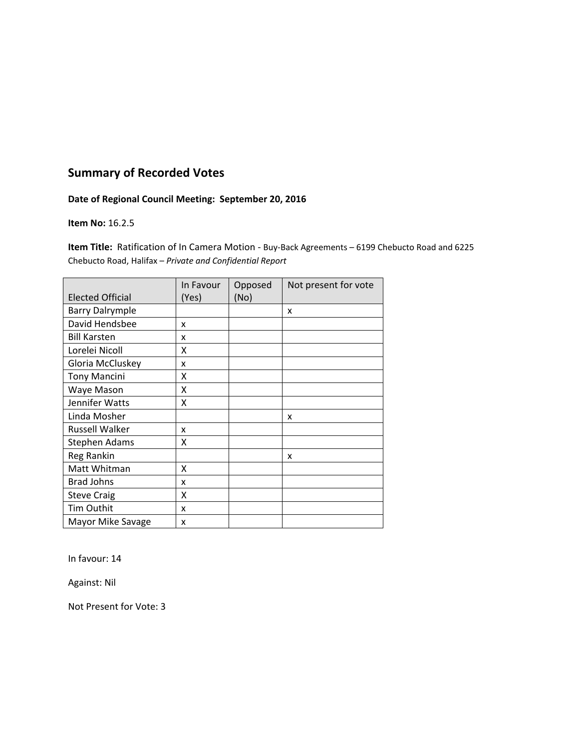### **Date of Regional Council Meeting: September 20, 2016**

#### **Item No:** 16.2.5

**Item Title:** Ratification of In Camera Motion - Buy-Back Agreements – 6199 Chebucto Road and 6225 Chebucto Road, Halifax – *Private and Confidential Report* 

|                         | In Favour | Opposed | Not present for vote |
|-------------------------|-----------|---------|----------------------|
| <b>Elected Official</b> | (Yes)     | (No)    |                      |
| <b>Barry Dalrymple</b>  |           |         | x                    |
| David Hendsbee          | x         |         |                      |
| <b>Bill Karsten</b>     | x         |         |                      |
| Lorelei Nicoll          | x         |         |                      |
| Gloria McCluskey        | x         |         |                      |
| <b>Tony Mancini</b>     | x         |         |                      |
| Waye Mason              | Χ         |         |                      |
| Jennifer Watts          | Χ         |         |                      |
| Linda Mosher            |           |         | x                    |
| <b>Russell Walker</b>   | x         |         |                      |
| Stephen Adams           | x         |         |                      |
| <b>Reg Rankin</b>       |           |         | x                    |
| Matt Whitman            | X         |         |                      |
| <b>Brad Johns</b>       | x         |         |                      |
| <b>Steve Craig</b>      | X         |         |                      |
| <b>Tim Outhit</b>       | x         |         |                      |
| Mayor Mike Savage       | x         |         |                      |

In favour: 14

Against: Nil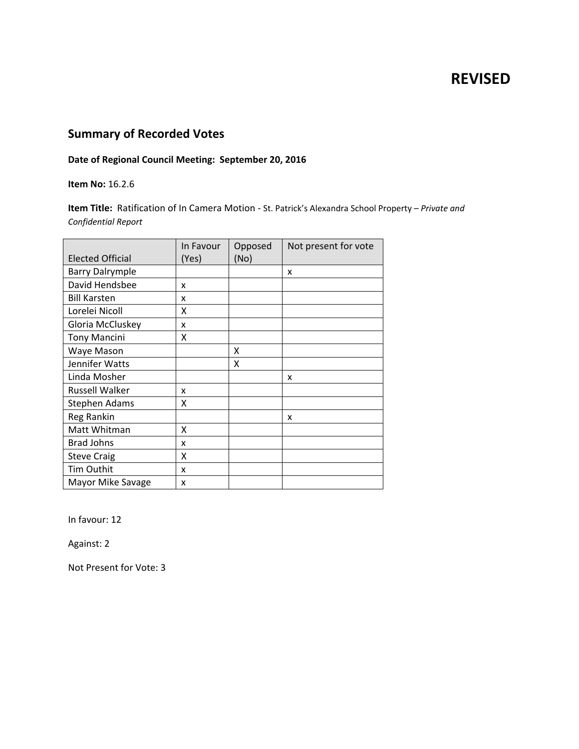# **REVISED**

# **Summary of Recorded Votes**

## **Date of Regional Council Meeting: September 20, 2016**

**Item No:** 16.2.6

**Item Title:** Ratification of In Camera Motion ‐ St. Patrick's Alexandra School Property – *Private and Confidential Report*

|                         | In Favour | Opposed | Not present for vote |
|-------------------------|-----------|---------|----------------------|
| <b>Elected Official</b> | (Yes)     | (No)    |                      |
| <b>Barry Dalrymple</b>  |           |         | X                    |
| David Hendsbee          | x         |         |                      |
| <b>Bill Karsten</b>     | x         |         |                      |
| Lorelei Nicoll          | x         |         |                      |
| Gloria McCluskey        | x         |         |                      |
| <b>Tony Mancini</b>     | Χ         |         |                      |
| Waye Mason              |           | x       |                      |
| Jennifer Watts          |           | x       |                      |
| Linda Mosher            |           |         | X                    |
| <b>Russell Walker</b>   | x         |         |                      |
| <b>Stephen Adams</b>    | x         |         |                      |
| Reg Rankin              |           |         | x                    |
| Matt Whitman            | X         |         |                      |
| <b>Brad Johns</b>       | x         |         |                      |
| <b>Steve Craig</b>      | X         |         |                      |
| Tim Outhit              | x         |         |                      |
| Mayor Mike Savage       | x         |         |                      |

In favour: 12

Against: 2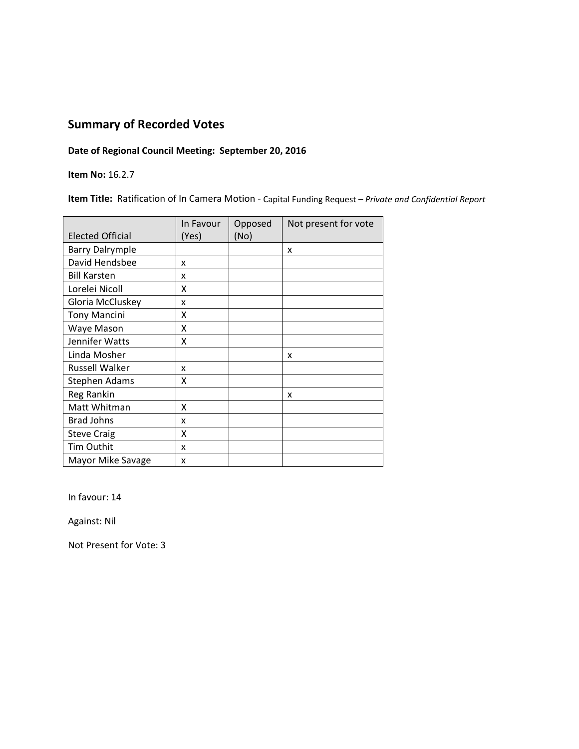### **Date of Regional Council Meeting: September 20, 2016**

**Item No:** 16.2.7

**Item Title:** Ratification of In Camera Motion ‐ Capital Funding Request – *Private and Confidential Report*

|                         | In Favour | Opposed | Not present for vote |
|-------------------------|-----------|---------|----------------------|
| <b>Elected Official</b> | (Yes)     | (No)    |                      |
| <b>Barry Dalrymple</b>  |           |         | X                    |
| David Hendsbee          | x         |         |                      |
| <b>Bill Karsten</b>     | x         |         |                      |
| Lorelei Nicoll          | X         |         |                      |
| Gloria McCluskey        | x         |         |                      |
| <b>Tony Mancini</b>     | X         |         |                      |
| Waye Mason              | X         |         |                      |
| Jennifer Watts          | Χ         |         |                      |
| Linda Mosher            |           |         | x                    |
| <b>Russell Walker</b>   | x         |         |                      |
| Stephen Adams           | x         |         |                      |
| Reg Rankin              |           |         | x                    |
| Matt Whitman            | X         |         |                      |
| <b>Brad Johns</b>       | x         |         |                      |
| <b>Steve Craig</b>      | X         |         |                      |
| Tim Outhit              | x         |         |                      |
| Mayor Mike Savage       | x         |         |                      |

In favour: 14

Against: Nil